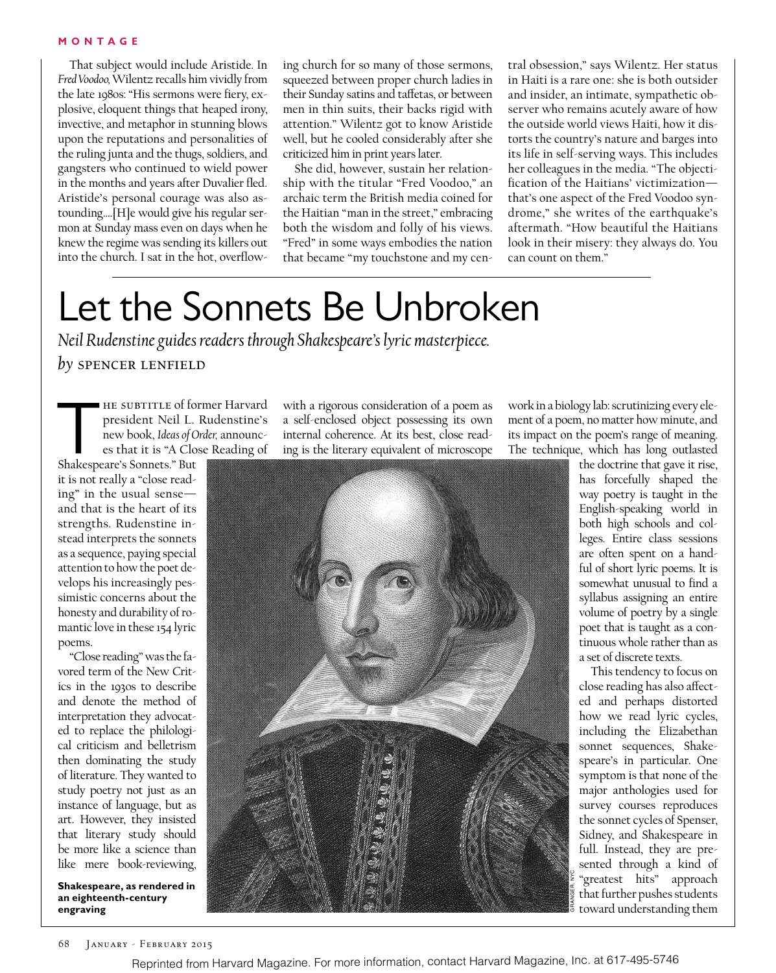#### **MONTAGE**

That subject would include Aristide. In *Fred Voodoo,* Wilentz recalls him vividly from the late 1980s:"His sermons were fiery, explosive, eloquent things that heaped irony, invective, and metaphor in stunning blows upon the reputations and personalities of the ruling junta and the thugs, soldiers, and gangsters who continued to wield power in the months and years after Duvalier fled. Aristide's personal courage was also astounding….[H]e would give his regular sermon at Sunday mass even on days when he knew the regime was sending its killers out into the church. I sat in the hot, overflowing church for so many of those sermons, squeezed between proper church ladies in their Sunday satins and tafetas, or between men in thin suits, their backs rigid with attention." Wilentz got to know Aristide well, but he cooled considerably after she criticized him in print years later.

She did, however, sustain her relationship with the titular "Fred Voodoo," an archaic term the British media coined for the Haitian "man in the street," embracing both the wisdom and folly of his views. "Fred" in some ways embodies the nation that became "my touchstone and my cen-

tral obsession," says Wilentz. Her status in Haiti is a rare one: she is both outsider and insider, an intimate, sympathetic observer who remains acutely aware of how the outside world views Haiti, how it distorts the country's nature and barges into its life in self-serving ways. This includes her colleagues in the media. "The objectification of the Haitians' victimization that's one aspect of the Fred Voodoo syndrome," she writes of the earthquake's aftermath. "How beautiful the Haitians look in their misery: they always do. You can count on them."

## Let the Sonnets Be Unbroken

*Neil Rudenstine guides readers through Shakespeare's lyric masterpiece. by* spencer lenfield

THE SUBTITLE of former Harvard<br>president Neil L. Rudenstine's<br>new book, Ideas of Order, announces<br>that it is "A Close Reading of<br>Shakespeare's Sonnets." But president Neil L. Rudenstine's new book, *Ideas of Order,* announces that it is "A Close Reading of

Shakespeare's Sonnets." But it is not really a "close reading" in the usual sense and that is the heart of its strengths. Rudenstine instead interprets the sonnets as a sequence, paying special attention to how the poet develops his increasingly pessimistic concerns about the honesty and durability of romantic love in these 154 lyric poems.

"Close reading" was the favored term of the New Critics in the 1930s to describe and denote the method of interpretation they advocated to replace the philological criticism and belletrism then dominating the study of literature. They wanted to study poetry not just as an instance of language, but as art. However, they insisted that literary study should be more like a science than like mere book-reviewing,

**Shakespeare, as rendered in an eighteenth-century engraving**

with a rigorous consideration of a poem as a self-enclosed object possessing its own internal coherence. At its best, close reading is the literary equivalent of microscope



work in a biology lab: scrutinizing every element of a poem, no matter how minute, and its impact on the poem's range of meaning. The technique, which has long outlasted

> the doctrine that gave it rise, has forcefully shaped the way poetry is taught in the English-speaking world in both high schools and colleges. Entire class sessions are often spent on a handful of short lyric poems. It is somewhat unusual to find a syllabus assigning an entire volume of poetry by a single poet that is taught as a continuous whole rather than as a set of discrete texts.

This tendency to focus on close reading has also afected and perhaps distorted how we read lyric cycles, including the Elizabethan sonnet sequences, Shakespeare's in particular. One symptom is that none of the major anthologies used for survey courses reproduces the sonnet cycles of Spenser, Sidney, and Shakespeare in full. Instead, they are presented through a kind of "greatest hits" approach that further pushes students toward understanding them

GRANGER, NYC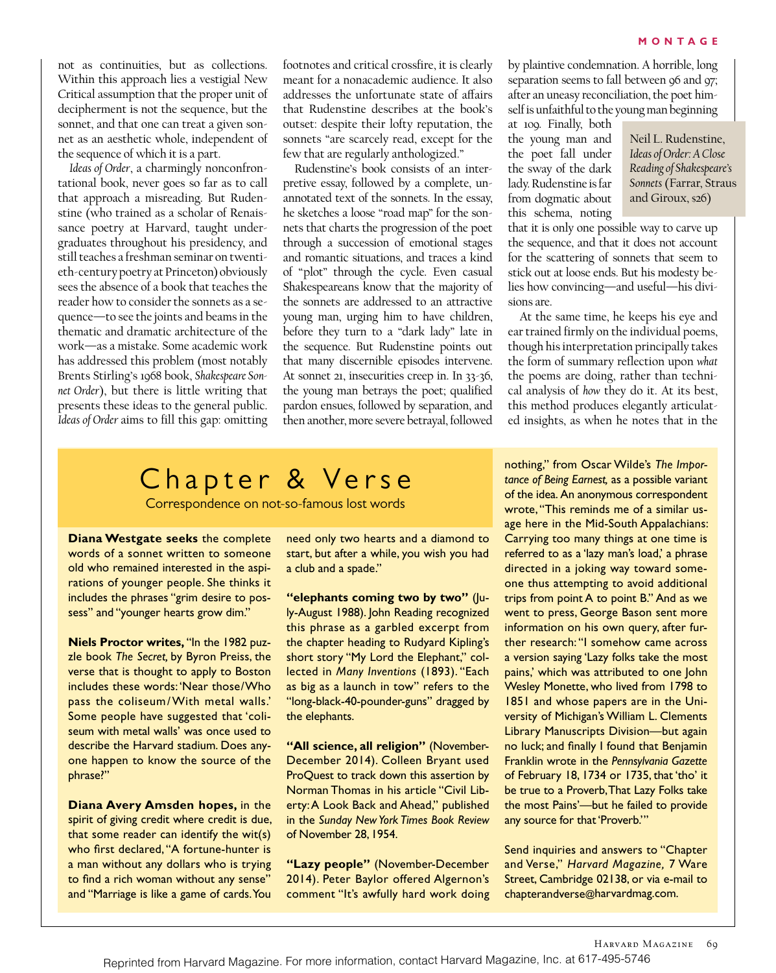not as continuities, but as collections. Within this approach lies a vestigial New Critical assumption that the proper unit of decipherment is not the sequence, but the sonnet, and that one can treat a given sonnet as an aesthetic whole, independent of the sequence of which it is a part.

*Ideas of Order*, a charmingly nonconfrontational book, never goes so far as to call that approach a misreading. But Rudenstine (who trained as a scholar of Renaissance poetry at Harvard, taught undergraduates throughout his presidency, and still teaches a freshman seminar on twentieth-century poetry at Princeton) obviously sees the absence of a book that teaches the reader how to consider the sonnets as a sequence—to see the joints and beams in the thematic and dramatic architecture of the work—as a mistake. Some academic work has addressed this problem (most notably Brents Stirling's 1968 book, *Shakespeare Sonnet Order*), but there is little writing that presents these ideas to the general public. *Ideas of Order* aims to fill this gap: omitting footnotes and critical crossfire, it is clearly meant for a nonacademic audience. It also addresses the unfortunate state of afairs that Rudenstine describes at the book's outset: despite their lofty reputation, the sonnets "are scarcely read, except for the few that are regularly anthologized."

Rudenstine's book consists of an interpretive essay, followed by a complete, unannotated text of the sonnets. In the essay, he sketches a loose "road map" for the sonnets that charts the progression of the poet through a succession of emotional stages and romantic situations, and traces a kind of "plot" through the cycle. Even casual Shakespeareans know that the majority of the sonnets are addressed to an attractive young man, urging him to have children, before they turn to a "dark lady" late in the sequence. But Rudenstine points out that many discernible episodes intervene. At sonnet 21, insecurities creep in. In 33-36, the young man betrays the poet; qualified pardon ensues, followed by separation, and then another, more severe betrayal, followed

Chapter & Verse

Correspondence on not-so-famous lost words

**Diana Westgate seeks** the complete words of a sonnet written to someone old who remained interested in the aspirations of younger people. She thinks it includes the phrases "grim desire to possess" and "younger hearts grow dim."

**Niels Proctor writes,** "In the 1982 puzzle book *The Secret,* by Byron Preiss, the verse that is thought to apply to Boston includes these words: 'Near those/Who pass the coliseum/With metal walls.' Some people have suggested that 'coliseum with metal walls' was once used to describe the Harvard stadium. Does anyone happen to know the source of the phrase?"

**Diana Avery Amsden hopes,** in the spirit of giving credit where credit is due, that some reader can identify the wit(s) who first declared, "A fortune-hunter is a man without any dollars who is trying to fnd a rich woman without any sense" and "Marriage is like a game of cards. You

need only two hearts and a diamond to start, but after a while, you wish you had a club and a spade."

**"elephants coming two by two"** (July-August 1988). John Reading recognized this phrase as a garbled excerpt from the chapter heading to Rudyard Kipling's short story "My Lord the Elephant," collected in *Many Inventions* (1893). "Each as big as a launch in tow" refers to the "long-black-40-pounder-guns" dragged by the elephants.

**"All science, all religion"** (November-December 2014). Colleen Bryant used ProQuest to track down this assertion by Norman Thomas in his article "Civil Liberty: A Look Back and Ahead," published in the *Sunday New York Times Book Review*  of November 28, 1954.

**"Lazy people"** (November-December 2014). Peter Baylor offered Algernon's comment "It's awfully hard work doing by plaintive condemnation. A horrible, long separation seems to fall between 96 and 97; after an uneasy reconciliation, the poet himself is unfaithful to the young man beginning

at 109. Finally, both the young man and the poet fall under the sway of the dark lady. Rudenstine is far from dogmatic about this schema, noting

Neil L. Rudenstine, *Ideas of Order: A Close Reading of Shakespeare's Sonnets* (Farrar, Straus and Giroux, \$26)

that it is only one possible way to carve up the sequence, and that it does not account for the scattering of sonnets that seem to stick out at loose ends. But his modesty belies how convincing—and useful—his divisions are.

At the same time, he keeps his eye and ear trained firmly on the individual poems, though his interpretation principally takes the form of summary reflection upon *what* the poems are doing, rather than technical analysis of *how* they do it. At its best, this method produces elegantly articulated insights, as when he notes that in the

nothing," from Oscar Wilde's *The Importance of Being Earnest,* as a possible variant of the idea. An anonymous correspondent wrote, "This reminds me of a similar usage here in the Mid-South Appalachians: Carrying too many things at one time is referred to as a 'lazy man's load,' a phrase directed in a joking way toward someone thus attempting to avoid additional trips from point A to point B." And as we went to press, George Bason sent more information on his own query, after further research: "I somehow came across a version saying 'Lazy folks take the most pains,' which was attributed to one John Wesley Monette, who lived from 1798 to 1851 and whose papers are in the University of Michigan's William L. Clements Library Manuscripts Division—but again no luck; and fnally I found that Benjamin Franklin wrote in the *Pennsylvania Gazette* of February 18, 1734 or 1735, that 'tho' it be true to a Proverb, That Lazy Folks take the most Pains'—but he failed to provide any source for that 'Proverb.'"

Send inquiries and answers to "Chapter and Verse," *Harvard Magazine,* 7 Ware Street, Cambridge 02138, or via e-mail to chapterandverse@harvardmag.com.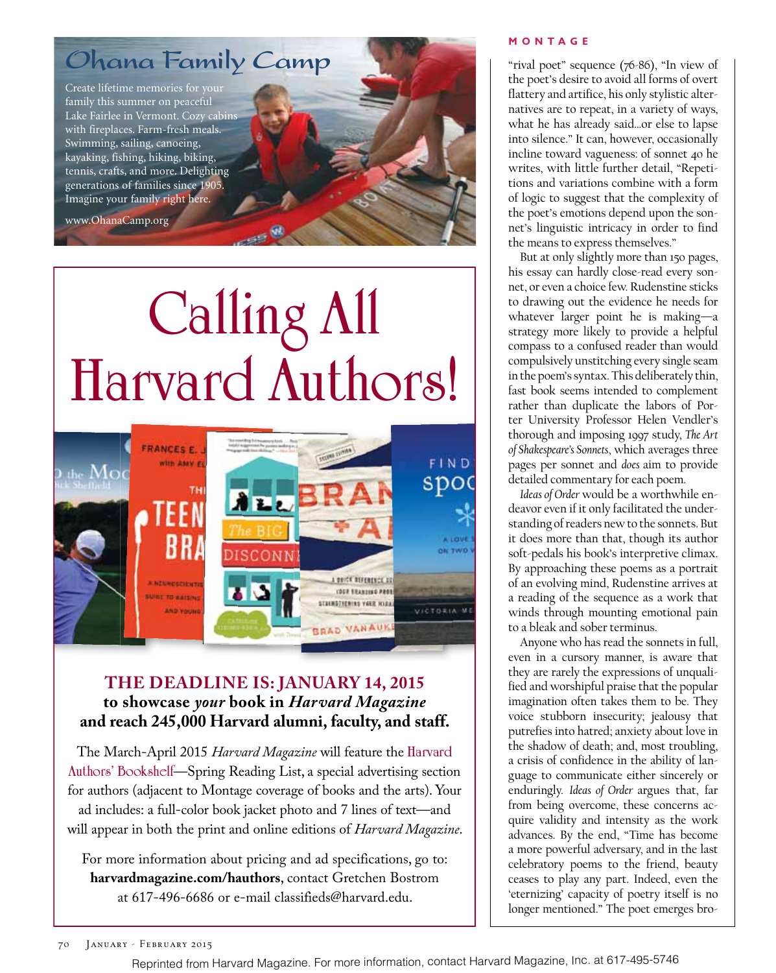### Ohana Family Camp

Create lifetime memories for your family this summer on peaceful Lake Fairlee in Vermont. Cozy cabins with fireplaces. Farm-fresh meals. Swimming, sailing, canoeing, kayaking, fishing, hiking, biking, tennis, crafts, and more. Delighting generations of families since 1905. Imagine your family right here.

www.OhanaCamp.org

# **Calling All**



#### **THE DEADLINE IS: JANUARY 14, 2015 to showcase** *your* **book in** *Harvard Magazine* **and reach 245,000 Harvard alumni, faculty, and staff.**

The March-April 2015 *Harvard Magazine* will feature the **Harvard Authors' Bookshelf**—Spring Reading List, a special advertising section for authors (adjacent to Montage coverage of books and the arts). Your ad includes: a full-color book jacket photo and 7 lines of text—and will appear in both the print and online editions of *Harvard Magazine*.

For more information about pricing and ad specifications, go to: **harvardmagazine.com/hauthors**, contact Gretchen Bostrom at 617-496-6686 or e-mail classifieds@harvard.edu.

#### **MONTAGE**

"rival poet" sequence (76-86), "In view of the poet's desire to avoid all forms of overt flattery and artifice, his only stylistic alternatives are to repeat, in a variety of ways, what he has already said…or else to lapse into silence." It can, however, occasionally incline toward vagueness: of sonnet 40 he writes, with little further detail, "Repetitions and variations combine with a form of logic to suggest that the complexity of the poet's emotions depend upon the sonnet's linguistic intricacy in order to find the means to express themselves."

But at only slightly more than 150 pages, his essay can hardly close-read every sonnet, or even a choice few. Rudenstine sticks to drawing out the evidence he needs for whatever larger point he is making—a strategy more likely to provide a helpful compass to a confused reader than would compulsively unstitching every single seam in the poem's syntax. This deliberately thin, fast book seems intended to complement rather than duplicate the labors of Porter University Professor Helen Vendler's thorough and imposing 1997 study, *The Art of Shakespeare's Sonnets*, which averages three pages per sonnet and *does* aim to provide detailed commentary for each poem.

*Ideas of Order* would be a worthwhile endeavor even if it only facilitated the understanding of readers new to the sonnets. But it does more than that, though its author soft-pedals his book's interpretive climax. By approaching these poems as a portrait of an evolving mind, Rudenstine arrives at a reading of the sequence as a work that winds through mounting emotional pain to a bleak and sober terminus.

Anyone who has read the sonnets in full, even in a cursory manner, is aware that they are rarely the expressions of unqualified and worshipful praise that the popular imagination often takes them to be. They voice stubborn insecurity; jealousy that putrefies into hatred; anxiety about love in the shadow of death; and, most troubling, a crisis of confidence in the ability of language to communicate either sincerely or enduringly. *Ideas of Order* argues that, far from being overcome, these concerns acquire validity and intensity as the work advances. By the end, "Time has become a more powerful adversary, and in the last celebratory poems to the friend, beauty ceases to play any part. Indeed, even the 'eternizing' capacity of poetry itself is no longer mentioned." The poet emerges bro